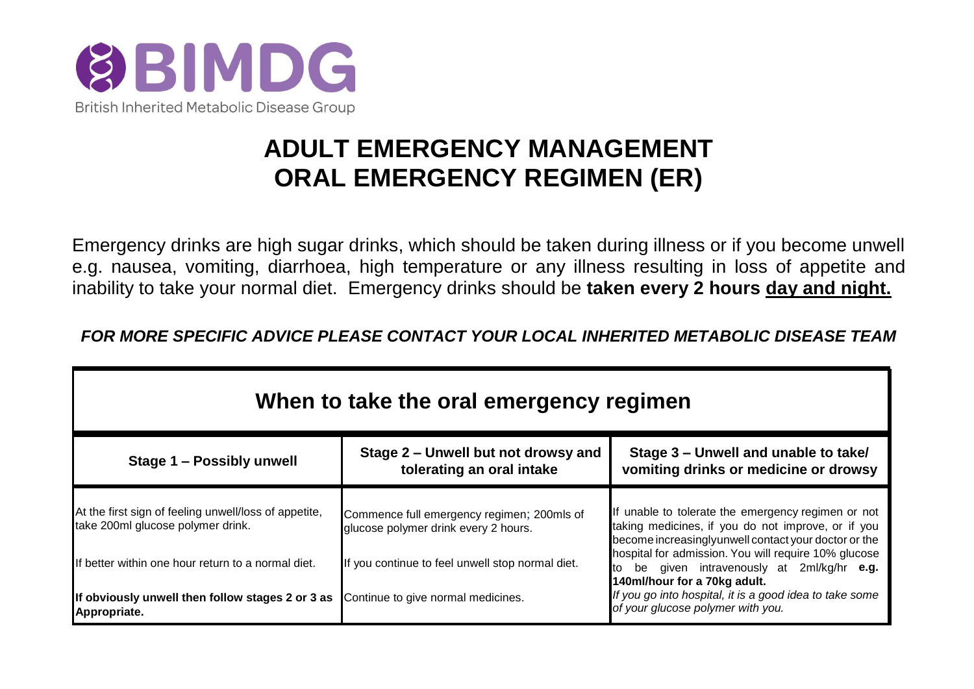

# **ADULT EMERGENCY MANAGEMENT ORAL EMERGENCY REGIMEN (ER)**

Emergency drinks are high sugar drinks, which should be taken during illness or if you become unwell e.g. nausea, vomiting, diarrhoea, high temperature or any illness resulting in loss of appetite and inability to take your normal diet. Emergency drinks should be **taken every 2 hours day and night.**

*FOR MORE SPECIFIC ADVICE PLEASE CONTACT YOUR LOCAL INHERITED METABOLIC DISEASE TEAM*

| When to take the oral emergency regimen                                                    |                                                                                    |                                                                                                                                                                                                                                        |  |  |  |
|--------------------------------------------------------------------------------------------|------------------------------------------------------------------------------------|----------------------------------------------------------------------------------------------------------------------------------------------------------------------------------------------------------------------------------------|--|--|--|
| Stage 1 - Possibly unwell                                                                  | Stage 2 – Unwell but not drowsy and<br>tolerating an oral intake                   | Stage 3 – Unwell and unable to take/<br>vomiting drinks or medicine or drowsy                                                                                                                                                          |  |  |  |
| At the first sign of feeling unwell/loss of appetite,<br>take 200ml glucose polymer drink. | Commence full emergency regimen; 200mls of<br>glucose polymer drink every 2 hours. | If unable to tolerate the emergency regimen or not<br>taking medicines, if you do not improve, or if you<br>become increasinglyunwell contact your doctor or the                                                                       |  |  |  |
| If better within one hour return to a normal diet.                                         | If you continue to feel unwell stop normal diet.                                   | hospital for admission. You will require 10% glucose<br>be given intravenously at 2ml/kg/hr e.g.<br>to<br>140ml/hour for a 70kg adult.<br>If you go into hospital, it is a good idea to take some<br>of your glucose polymer with you. |  |  |  |
| If obviously unwell then follow stages 2 or 3 as<br>Appropriate.                           | Continue to give normal medicines.                                                 |                                                                                                                                                                                                                                        |  |  |  |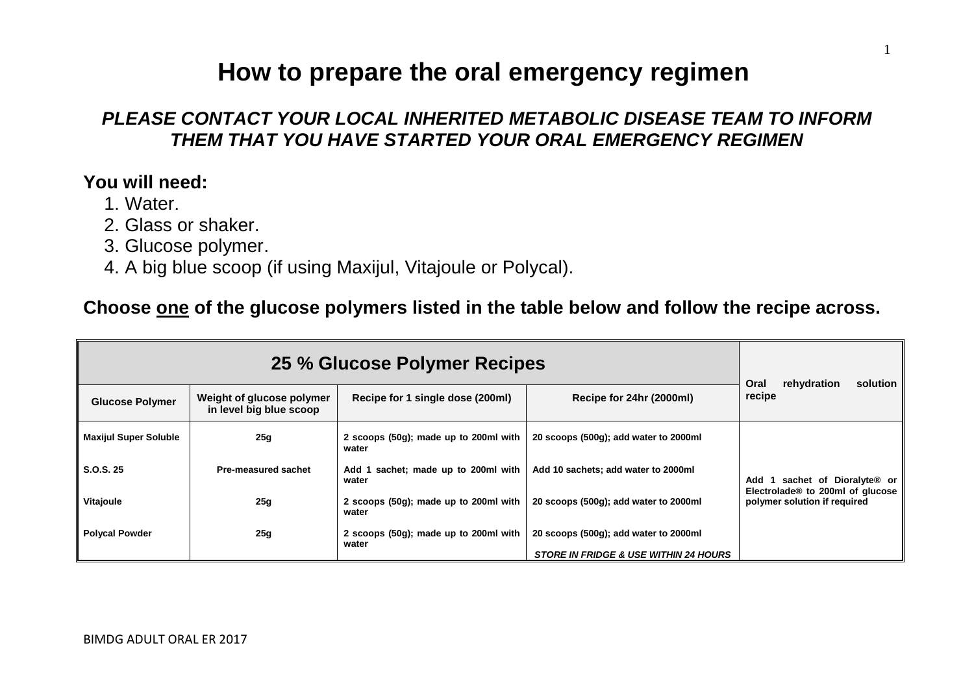### **How to prepare the oral emergency regimen**

1

#### *PLEASE CONTACT YOUR LOCAL INHERITED METABOLIC DISEASE TEAM TO INFORM THEM THAT YOU HAVE STARTED YOUR ORAL EMERGENCY REGIMEN*

#### **You will need:**

- 1. Water.
- 2. Glass or shaker.
- 3. Glucose polymer.
- 4. A big blue scoop (if using Maxijul, Vitajoule or Polycal).

#### **Choose one of the glucose polymers listed in the table below and follow the recipe across.**

| 25 % Glucose Polymer Recipes |                                                      |                                                 |                                                  | Oral<br>rehydration<br>solution                                                                                  |  |
|------------------------------|------------------------------------------------------|-------------------------------------------------|--------------------------------------------------|------------------------------------------------------------------------------------------------------------------|--|
| <b>Glucose Polymer</b>       | Weight of glucose polymer<br>in level big blue scoop | Recipe for 1 single dose (200ml)                | Recipe for 24hr (2000ml)                         | recipe                                                                                                           |  |
| <b>Maxijul Super Soluble</b> | 25g                                                  | 2 scoops (50g); made up to 200ml with<br>water  | 20 scoops (500g); add water to 2000ml            |                                                                                                                  |  |
| S.O.S. 25                    | Pre-measured sachet                                  | sachet; made up to 200ml with<br>Add 1<br>water | Add 10 sachets; add water to 2000ml              | sachet of Dioralyte® or<br>Add 1<br>Electrolade <sup>®</sup> to 200ml of glucose<br>polymer solution if required |  |
| Vitajoule                    | 25g                                                  | 2 scoops (50g); made up to 200ml with<br>water  | 20 scoops (500g); add water to 2000ml            |                                                                                                                  |  |
| <b>Polycal Powder</b>        | 25g                                                  | 2 scoops (50g); made up to 200ml with<br>water  | 20 scoops (500g); add water to 2000ml            |                                                                                                                  |  |
|                              |                                                      |                                                 | <b>STORE IN FRIDGE &amp; USE WITHIN 24 HOURS</b> |                                                                                                                  |  |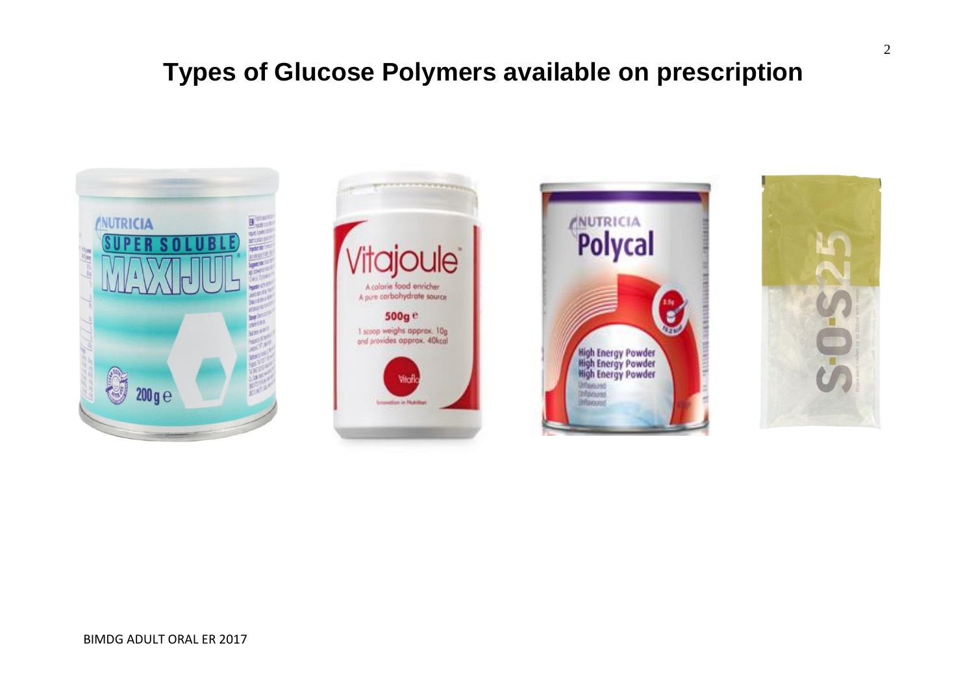## **Types of Glucose Polymers available on prescription**







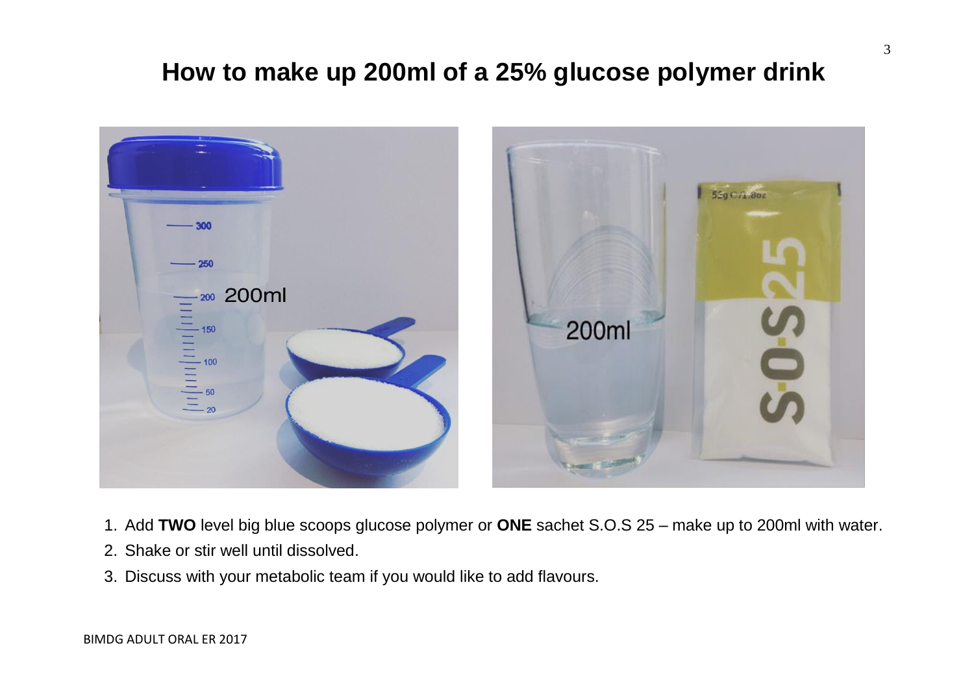## **How to make up 200ml of a 25% glucose polymer drink**



- 1. Add **TWO** level big blue scoops glucose polymer or **ONE** sachet S.O.S 25 make up to 200ml with water.
- 2. Shake or stir well until dissolved.
- 3. Discuss with your metabolic team if you would like to add flavours.